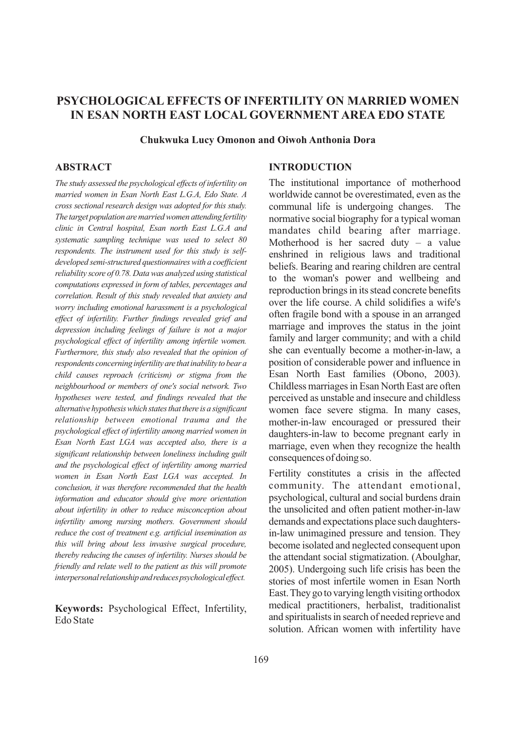# **PSYCHOLOGICAL EFFECTS OF INFERTILITY ON MARRIED WOMEN IN ESAN NORTH EAST LOCAL GOVERNMENT AREA EDO STATE**

**Chukwuka Lucy Omonon and Oiwoh Anthonia Dora**

## **ABSTRACT**

*The study assessed the psychological effects ofinfertility on married women in Esan North East L.G.A, Edo State. A cross sectional research design was adopted for this study. The target population aremarriedwomen attending fertility clinic in Central hospital, Esan north East L.G.A and systematic sampling technique was used to select 80 respondents. The instrument used for this study is selfdeveloped semi-structured questionnaireswith a coefficient reliability score of 0.78. Datawas analyzed using statistical computations expressed in form of tables, percentages and correlation. Result of this study revealed that anxiety and worry including emotional harassment is a psychological effect of infertility. Further findings revealed grief and depression including feelings of failure is not a major psychological effect of infertility among infertile women. Furthermore, this study also revealed that the opinion of respondents concerninginfertilityare thatinability tobeara child causes reproach (criticism) or stigma from the neighbourhood or members of one's social network. Two hypotheses were tested, and findings revealed that the alternative hypothesiswhich statesthatthere is a significant relationship between emotional trauma and the psychological effect ofinfertility among married women in Esan North East LGA was accepted also, there is a significant relationship between loneliness including guilt and the psychological effect of infertility among married women in Esan North East LGA was accepted. In conclusion, it was therefore recommended that the health information and educator should give more orientation about infertility in other to reduce misconception about infertility among nursing mothers. Government should reduce the cost of treatment e.g. artificial insemination as this will bring about less invasive surgical procedure, thereby reducing the causes of infertility. Nurses should be friendly and relate well to the patient as this will promote interpersonalrelationshipandreducespsychologicaleffect.*

**Keywords:** Psychological Effect, Infertility, Edo State

## **INTRODUCTION**

The institutional importance of motherhood worldwide cannot be overestimated, even as the communal life is undergoing changes. The normative social biography for a typical woman mandates child bearing after marriage. Motherhood is her sacred duty – a value enshrined in religious laws and traditional beliefs. Bearing and rearing children are central to the woman's power and wellbeing and reproduction brings in its stead concrete benefits over the life course. A child solidifies a wife's often fragile bond with a spouse in an arranged marriage and improves the status in the joint family and larger community; and with a child she can eventually become a mother-in-law, a position of considerable power and influence in Esan North East families (Obono, 2003). Childless marriages in Esan North East are often perceived as unstable and insecure and childless women face severe stigma. In many cases, mother-in-law encouraged or pressured their daughters-in-law to become pregnant early in marriage, even when they recognize the health consequences ofdoing so.

Fertility constitutes a crisis in the affected community. The attendant emotional, psychological, cultural and social burdens drain the unsolicited and often patient mother-in-law demands and expectations place such daughtersin-law unimagined pressure and tension. They become isolated and neglected consequent upon the attendant social stigmatization. (Aboulghar, 2005). Undergoing such life crisis has been the stories of most infertile women in Esan North East.They go to varying length visiting orthodox medical practitioners, herbalist, traditionalist and spiritualists in search of needed reprieve and solution. African women with infertility have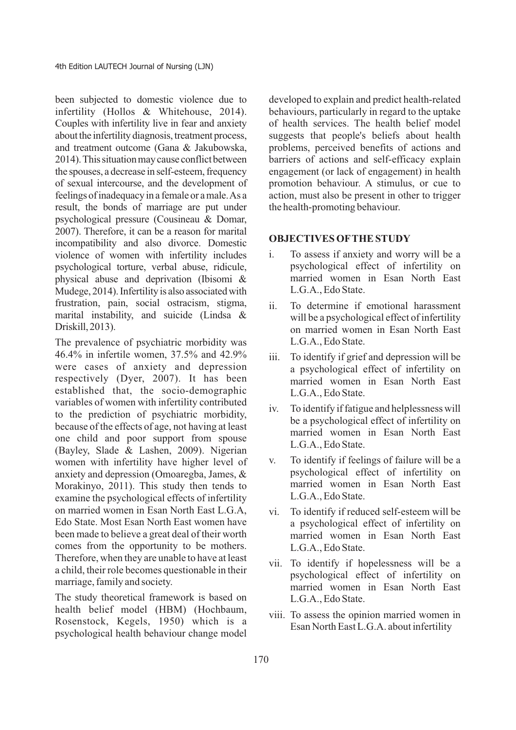been subjected to domestic violence due to infertility (Hollos & Whitehouse, 2014). Couples with infertility live in fear and anxiety about the infertility diagnosis, treatment process, and treatment outcome (Gana & Jakubowska, 2014). This situation may cause conflict between the spouses, a decrease in self-esteem, frequency of sexual intercourse, and the development of feelings of inadequacy in a female or a male. As a result, the bonds of marriage are put under psychological pressure (Cousineau & Domar, 2007). Therefore, it can be a reason for marital incompatibility and also divorce. Domestic violence of women with infertility includes psychological torture, verbal abuse, ridicule, physical abuse and deprivation (Ibisomi & Mudege, 2014). Infertility is also associated with frustration, pain, social ostracism, stigma, marital instability, and suicide (Lindsa & Driskill,2013).

The prevalence of psychiatric morbidity was 46.4% in infertile women, 37.5% and 42.9% were cases of anxiety and depression respectively (Dyer, 2007). It has been established that, the socio-demographic variables of women with infertility contributed to the prediction of psychiatric morbidity, because of the effects of age, not having at least one child and poor support from spouse (Bayley, Slade & Lashen, 2009). Nigerian women with infertility have higher level of anxiety and depression (Omoaregba, James, & Morakinyo, 2011). This study then tends to examine the psychological effects of infertility on married women in Esan North East L.G.A, Edo State. Most Esan North East women have been made to believe a great deal of their worth comes from the opportunity to be mothers. Therefore, when they are unable to have at least a child, their role becomes questionable in their marriage, family and society.

The study theoretical framework is based on health belief model (HBM) (Hochbaum, Rosenstock, Kegels, 1950) which is a psychological health behaviour change model

developed to explain and predict health-related behaviours, particularly in regard to the uptake of health services. The health belief model suggests that people's beliefs about health problems, perceived benefits of actions and barriers of actions and self-efficacy explain engagement (or lack of engagement) in health promotion behaviour. A stimulus, or cue to action, must also be present in other to trigger the health-promoting behaviour.

#### **OBJECTIVES OFTHE STUDY**

- i. To assess if anxiety and worry will be a psychological effect of infertility on married women in Esan North East L.G.A., Edo State.
- ii. To determine if emotional harassment will be a psychological effect of infertility on married women in Esan North East L.G.A., Edo State.
- iii. To identify if grief and depression will be a psychological effect of infertility on married women in Esan North East L.G.A., Edo State.
- iv. To identify if fatigue and helplessness will be a psychological effect of infertility on married women in Esan North East L.G.A., Edo State.
- v. To identify if feelings of failure will be a psychological effect of infertility on married women in Esan North East L.G.A., Edo State.
- vi. To identify if reduced self-esteem will be a psychological effect of infertility on married women in Esan North East L.G.A., Edo State.
- vii. To identify if hopelessness will be a psychological effect of infertility on married women in Esan North East L.G.A., Edo State.
- viii. To assess the opinion married women in Esan North East L.G.A. about infertility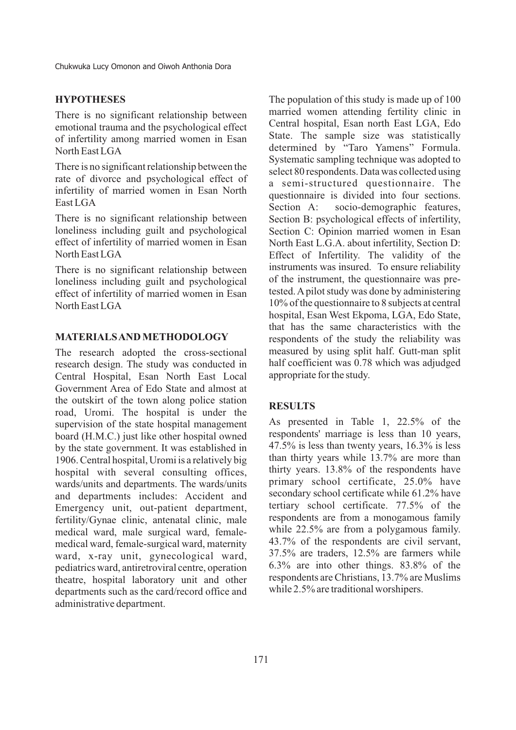#### **HYPOTHESES**

There is no significant relationship between emotional trauma and the psychological effect of infertility among married women in Esan North East LGA

There is no significant relationship between the rate of divorce and psychological effect of infertility of married women in Esan North East LGA

There is no significant relationship between loneliness including guilt and psychological effect of infertility of married women in Esan North East LGA

There is no significant relationship between loneliness including guilt and psychological effect of infertility of married women in Esan North East LGA

#### **MATERIALS AND METHODOLOGY**

The research adopted the cross-sectional research design. The study was conducted in Central Hospital, Esan North East Local Government Area of Edo State and almost at the outskirt of the town along police station road, Uromi. The hospital is under the supervision of the state hospital management board (H.M.C.) just like other hospital owned by the state government. It was established in 1906. Central hospital, Uromi is a relatively big hospital with several consulting offices, wards/units and departments. The wards/units and departments includes: Accident and Emergency unit, out-patient department, fertility/Gynae clinic, antenatal clinic, male medical ward, male surgical ward, femalemedical ward, female-surgical ward, maternity ward, x-ray unit, gynecological ward, pediatrics ward, antiretroviral centre, operation theatre, hospital laboratory unit and other departments such as the card/record office and administrative department.

The population of this study is made up of 100 married women attending fertility clinic in Central hospital, Esan north East LGA, Edo State. The sample size was statistically determined by "Taro Yamens" Formula. Systematic sampling technique was adopted to select 80 respondents. Data was collected using a semi-structured questionnaire. The questionnaire is divided into four sections.<br>Section A: socio-demographic features. socio-demographic features, Section B: psychological effects of infertility, Section C: Opinion married women in Esan North East L.G.A. about infertility, Section D: Effect of Infertility. The validity of the instruments was insured. To ensure reliability of the instrument, the questionnaire was pretested. Apilot study was done by administering 10% of the questionnaire to 8 subjects at central hospital, Esan West Ekpoma, LGA, Edo State, that has the same characteristics with the respondents of the study the reliability was measured by using split half. Gutt-man split half coefficient was 0.78 which was adjudged appropriate for the study.

#### **RESULTS**

As presented in Table 1, 22.5% of the respondents' marriage is less than 10 years, 47.5% is less than twenty years, 16.3% is less than thirty years while 13.7% are more than thirty years. 13.8% of the respondents have primary school certificate, 25.0% have secondary school certificate while 61.2% have tertiary school certificate. 77.5% of the respondents are from a monogamous family while 22.5% are from a polygamous family. 43.7% of the respondents are civil servant, 37.5% are traders, 12.5% are farmers while 6.3% are into other things. 83.8% of the respondents are Christians, 13.7% are Muslims while 2.5% are traditional worshipers.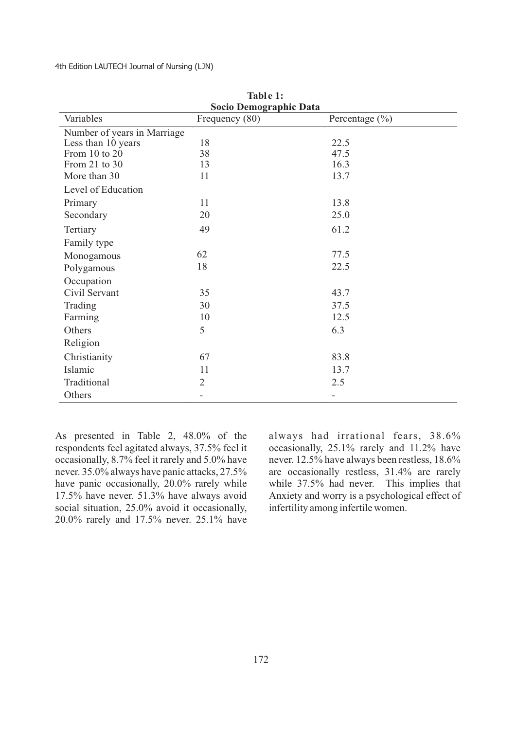4th Edition LAUTECH Journal of Nursing (LJN)

| Socio Demographic Data      |                |                    |  |  |  |
|-----------------------------|----------------|--------------------|--|--|--|
| Variables                   | Frequency (80) | Percentage $(\% )$ |  |  |  |
| Number of years in Marriage |                |                    |  |  |  |
| Less than 10 years          | 18             | 22.5               |  |  |  |
| From 10 to 20               | 38             | 47.5               |  |  |  |
| From 21 to 30               | 13             | 16.3               |  |  |  |
| More than 30                | 11             | 13.7               |  |  |  |
| Level of Education          |                |                    |  |  |  |
| Primary                     | 11             | 13.8               |  |  |  |
| Secondary                   | 20             | 25.0               |  |  |  |
| Tertiary                    | 49             | 61.2               |  |  |  |
| Family type                 |                |                    |  |  |  |
| Monogamous                  | 62             | 77.5               |  |  |  |
| Polygamous                  | 18             | 22.5               |  |  |  |
| Occupation                  |                |                    |  |  |  |
| Civil Servant               | 35             | 43.7               |  |  |  |
| Trading                     | 30             | 37.5               |  |  |  |
| Farming                     | 10             | 12.5               |  |  |  |
| Others                      | 5              | 6.3                |  |  |  |
| Religion                    |                |                    |  |  |  |
| Christianity                | 67             | 83.8               |  |  |  |
| Islamic                     | 11             | 13.7               |  |  |  |
| Traditional                 | $\overline{2}$ | 2.5                |  |  |  |
| Others                      |                |                    |  |  |  |

**Table 1:**

As presented in Table 2, 48.0% of the respondents feel agitated always, 37.5% feel it occasionally, 8.7% feel it rarely and 5.0% have never. 35.0% always have panic attacks, 27.5% have panic occasionally, 20.0% rarely while 17.5% have never. 51.3% have always avoid social situation, 25.0% avoid it occasionally, 20.0% rarely and 17.5% never. 25.1% have

always had irrational fears, 38.6% occasionally, 25.1% rarely and 11.2% have never. 12.5% have always been restless, 18.6% are occasionally restless, 31.4% are rarely while 37.5% had never. This implies that Anxiety and worry is a psychological effect of infertility among infertile women.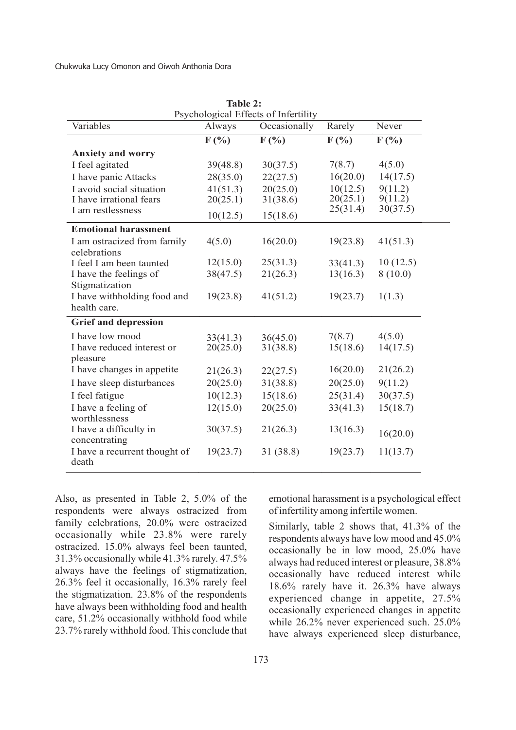|                                             | Table 2: |              |          |          |  |  |
|---------------------------------------------|----------|--------------|----------|----------|--|--|
| Psychological Effects of Infertility        |          |              |          |          |  |  |
| Variables                                   | Always   | Occasionally | Rarely   | Never    |  |  |
|                                             | F(%)     | F(%)         | $F(\% )$ | $F(\%)$  |  |  |
| <b>Anxiety and worry</b>                    |          |              |          |          |  |  |
| I feel agitated                             | 39(48.8) | 30(37.5)     | 7(8.7)   | 4(5.0)   |  |  |
| I have panic Attacks                        | 28(35.0) | 22(27.5)     | 16(20.0) | 14(17.5) |  |  |
| I avoid social situation                    | 41(51.3) | 20(25.0)     | 10(12.5) | 9(11.2)  |  |  |
| I have irrational fears                     | 20(25.1) | 31(38.6)     | 20(25.1) | 9(11.2)  |  |  |
| I am restlessness                           | 10(12.5) | 15(18.6)     | 25(31.4) | 30(37.5) |  |  |
| <b>Emotional harassment</b>                 |          |              |          |          |  |  |
| I am ostracized from family<br>celebrations | 4(5.0)   | 16(20.0)     | 19(23.8) | 41(51.3) |  |  |
| I feel I am been taunted                    | 12(15.0) | 25(31.3)     | 33(41.3) | 10(12.5) |  |  |
| I have the feelings of                      | 38(47.5) | 21(26.3)     | 13(16.3) | 8(10.0)  |  |  |
| Stigmatization                              |          |              |          |          |  |  |
| I have withholding food and                 | 19(23.8) | 41(51.2)     | 19(23.7) | 1(1.3)   |  |  |
| health care.                                |          |              |          |          |  |  |
| <b>Grief and depression</b>                 |          |              |          |          |  |  |
| I have low mood                             | 33(41.3) | 36(45.0)     | 7(8.7)   | 4(5.0)   |  |  |
| I have reduced interest or                  | 20(25.0) | 31(38.8)     | 15(18.6) | 14(17.5) |  |  |
| pleasure                                    |          |              |          |          |  |  |
| I have changes in appetite                  | 21(26.3) | 22(27.5)     | 16(20.0) | 21(26.2) |  |  |
| I have sleep disturbances                   | 20(25.0) | 31(38.8)     | 20(25.0) | 9(11.2)  |  |  |
| I feel fatigue                              | 10(12.3) | 15(18.6)     | 25(31.4) | 30(37.5) |  |  |
| I have a feeling of<br>worthlessness        | 12(15.0) | 20(25.0)     | 33(41.3) | 15(18.7) |  |  |
| I have a difficulty in<br>concentrating     | 30(37.5) | 21(26.3)     | 13(16.3) | 16(20.0) |  |  |
| I have a recurrent thought of<br>death      | 19(23.7) | 31 (38.8)    | 19(23.7) | 11(13.7) |  |  |

Also, as presented in Table 2, 5.0% of the respondents were always ostracized from family celebrations, 20.0% were ostracized occasionally while 23.8% were rarely ostracized. 15.0% always feel been taunted, 31.3% occasionally while 41.3% rarely. 47.5% always have the feelings of stigmatization, 26.3% feel it occasionally, 16.3% rarely feel the stigmatization. 23.8% of the respondents have always been withholding food and health care, 51.2% occasionally withhold food while 23.7% rarely withhold food. This conclude that emotional harassment is a psychological effect of infertility among infertile women.

Similarly, table 2 shows that, 41.3% of the respondents always have low mood and 45.0% occasionally be in low mood, 25.0% have always had reduced interest or pleasure, 38.8% occasionally have reduced interest while 18.6% rarely have it. 26.3% have always experienced change in appetite, 27.5% occasionally experienced changes in appetite while  $26.2\%$  never experienced such. 25.0% have always experienced sleep disturbance,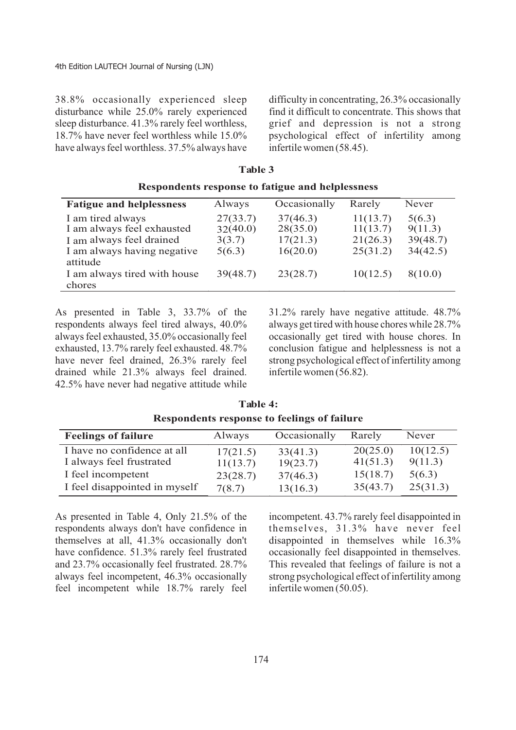38.8% occasionally experienced sleep disturbance while 25.0% rarely experienced sleep disturbance. 41.3% rarely feel worthless, 18.7% have never feel worthless while 15.0% have always feel worthless. 37.5% always have difficulty in concentrating, 26.3% occasionally find it difficult to concentrate. This shows that grief and depression is not a strong psychological effect of infertility among infertile women (58.45).

| Respondents response to fatigue and helplessness                                                                       |                                          |                                              |                                              |                                           |  |
|------------------------------------------------------------------------------------------------------------------------|------------------------------------------|----------------------------------------------|----------------------------------------------|-------------------------------------------|--|
| <b>Fatigue and helplessness</b>                                                                                        | Always                                   | Occasionally                                 | Rarely                                       | Never                                     |  |
| I am tired always<br>I am always feel exhausted<br>I am always feel drained<br>I am always having negative<br>attitude | 27(33.7)<br>32(40.0)<br>3(3.7)<br>5(6.3) | 37(46.3)<br>28(35.0)<br>17(21.3)<br>16(20.0) | 11(13.7)<br>11(13.7)<br>21(26.3)<br>25(31.2) | 5(6.3)<br>9(11.3)<br>39(48.7)<br>34(42.5) |  |
| I am always tired with house<br>chores                                                                                 | 39(48.7)                                 | 23(28.7)                                     | 10(12.5)                                     | 8(10.0)                                   |  |

**Table 3**

As presented in Table 3, 33.7% of the respondents always feel tired always, 40.0% always feel exhausted, 35.0% occasionally feel exhausted, 13.7% rarely feel exhausted. 48.7% have never feel drained, 26.3% rarely feel drained while 21.3% always feel drained. 42.5% have never had negative attitude while

31.2% rarely have negative attitude. 48.7% always get tired with house chores while 28.7% occasionally get tired with house chores. In conclusion fatigue and helplessness is not a strong psychological effect of infertility among infertile women (56.82).

| <b>Feelings of failure</b>    | Always   | Occasionally | Rarely   | Never    |  |
|-------------------------------|----------|--------------|----------|----------|--|
| I have no confidence at all   | 17(21.5) | 33(41.3)     | 20(25.0) | 10(12.5) |  |
| I always feel frustrated      | 11(13.7) | 19(23.7)     | 41(51.3) | 9(11.3)  |  |
| I feel incompetent            | 23(28.7) | 37(46.3)     | 15(18.7) | 5(6.3)   |  |
| I feel disappointed in myself | 7(8.7)   | 13(16.3)     | 35(43.7) | 25(31.3) |  |

**Table 4: Respondents response to feelings of failure**

As presented in Table 4, Only 21.5% of the respondents always don't have confidence in themselves at all, 41.3% occasionally don't have confidence. 51.3% rarely feel frustrated and 23.7% occasionally feel frustrated. 28.7% always feel incompetent, 46.3% occasionally feel incompetent while 18.7% rarely feel incompetent. 43.7% rarely feel disappointed in themselves, 31.3% have never feel disappointed in themselves while 16.3% occasionally feel disappointed in themselves. This revealed that feelings of failure is not a strong psychological effect of infertility among infertile women (50.05).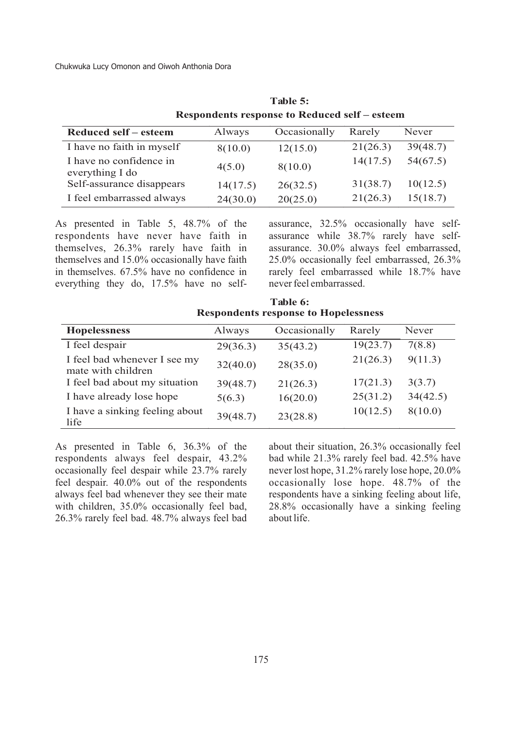| <b>Respondents response to Reduced self – esteem</b> |          |              |          |          |  |
|------------------------------------------------------|----------|--------------|----------|----------|--|
| Reduced self – esteem                                | Always   | Occasionally | Rarely   | Never    |  |
| I have no faith in myself                            | 8(10.0)  | 12(15.0)     | 21(26.3) | 39(48.7) |  |
| I have no confidence in<br>everything I do           | 4(5.0)   | 8(10.0)      | 14(17.5) | 54(67.5) |  |
| Self-assurance disappears                            | 14(17.5) | 26(32.5)     | 31(38.7) | 10(12.5) |  |
| I feel embarrassed always                            | 24(30.0) | 20(25.0)     | 21(26.3) | 15(18.7) |  |

**Table 5: Respondents response to Reduced self – esteem**

As presented in Table 5, 48.7% of the respondents have never have faith in themselves, 26.3% rarely have faith in themselves and 15.0% occasionally have faith in themselves. 67.5% have no confidence in everything they do, 17.5% have no selfassurance, 32.5% occasionally have selfassurance while 38.7% rarely have selfassurance. 30.0% always feel embarrassed, 25.0% occasionally feel embarrassed, 26.3% rarely feel embarrassed while 18.7% have never feel embarrassed.

| <b>Respondents response to Hopelessness</b>        |          |              |          |          |  |
|----------------------------------------------------|----------|--------------|----------|----------|--|
| <b>Hopelessness</b>                                | Always   | Occasionally | Rarely   | Never    |  |
| I feel despair                                     | 29(36.3) | 35(43.2)     | 19(23.7) | 7(8.8)   |  |
| I feel bad whenever I see my<br>mate with children | 32(40.0) | 28(35.0)     | 21(26.3) | 9(11.3)  |  |
| I feel bad about my situation                      | 39(48.7) | 21(26.3)     | 17(21.3) | 3(3.7)   |  |
| I have already lose hope                           | 5(6.3)   | 16(20.0)     | 25(31.2) | 34(42.5) |  |
| I have a sinking feeling about<br>life             | 39(48.7) | 23(28.8)     | 10(12.5) | 8(10.0)  |  |

**Table 6:**

As presented in Table 6, 36.3% of the respondents always feel despair, 43.2% occasionally feel despair while 23.7% rarely feel despair. 40.0% out of the respondents always feel bad whenever they see their mate with children, 35.0% occasionally feel bad, 26.3% rarely feel bad. 48.7% always feel bad

about their situation, 26.3% occasionally feel bad while 21.3% rarely feel bad. 42.5% have never lost hope, 31.2% rarely lose hope, 20.0% occasionally lose hope. 48.7% of the respondents have a sinking feeling about life, 28.8% occasionally have a sinking feeling about life.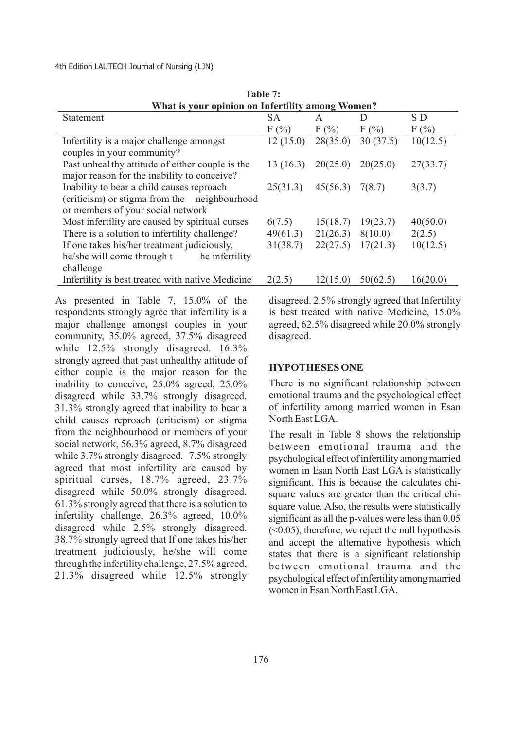4th Edition LAUTECH Journal of Nursing (LJN)

| What is your opinion on Infertility among Women? |           |          |          |          |
|--------------------------------------------------|-----------|----------|----------|----------|
| Statement                                        | <b>SA</b> | A        | D        | S D      |
|                                                  | F(%)      | $F(\%)$  | $F(\%)$  | $F(\%)$  |
| Infertility is a major challenge amongst         | 12(15.0)  | 28(35.0) | 30(37.5) | 10(12.5) |
| couples in your community?                       |           |          |          |          |
| Past unheal thy attitude of either couple is the | 13(16.3)  | 20(25.0) | 20(25.0) | 27(33.7) |
| major reason for the inability to conceive?      |           |          |          |          |
| Inability to bear a child causes reproach        | 25(31.3)  | 45(56.3) | 7(8.7)   | 3(3.7)   |
| (criticism) or stigma from the neighbourhood     |           |          |          |          |
| or members of your social network                |           |          |          |          |
| Most infertility are caused by spiritual curses  | 6(7.5)    | 15(18.7) | 19(23.7) | 40(50.0) |
| There is a solution to infertility challenge?    | 49(61.3)  | 21(26.3) | 8(10.0)  | 2(2.5)   |
| If one takes his/her treatment judiciously,      | 31(38.7)  | 22(27.5) | 17(21.3) | 10(12.5) |
| he/she will come through t<br>he infertility     |           |          |          |          |
| challenge                                        |           |          |          |          |
| Infertility is best treated with native Medicine | 2(2.5)    | 12(15.0) | 50(62.5) | 16(20.0) |
|                                                  |           |          |          |          |

**Table 7:**

As presented in Table 7, 15.0% of the respondents strongly agree that infertility is a major challenge amongst couples in your community, 35.0% agreed, 37.5% disagreed while 12.5% strongly disagreed. 16.3% strongly agreed that past unhealthy attitude of either couple is the major reason for the inability to conceive, 25.0% agreed, 25.0% disagreed while 33.7% strongly disagreed. 31.3% strongly agreed that inability to bear a child causes reproach (criticism) or stigma from the neighbourhood or members of your social network, 56.3% agreed, 8.7% disagreed while 3.7% strongly disagreed. 7.5% strongly agreed that most infertility are caused by spiritual curses, 18.7% agreed, 23.7% disagreed while 50.0% strongly disagreed. 61.3% strongly agreed that there is a solution to infertility challenge, 26.3% agreed, 10.0% disagreed while 2.5% strongly disagreed. 38.7% strongly agreed that If one takes his/her treatment judiciously, he/she will come through the infertility challenge, 27.5% agreed, 21.3% disagreed while 12.5% strongly

disagreed. 2.5% strongly agreed that Infertility is best treated with native Medicine, 15.0% agreed, 62.5% disagreed while 20.0% strongly disagreed.

## **HYPOTHESES ONE**

There is no significant relationship between emotional trauma and the psychological effect of infertility among married women in Esan North East LGA.

The result in Table 8 shows the relationship between emotional trauma and the psychological effect of infertility among married women in Esan North East LGA is statistically significant. This is because the calculates chisquare values are greater than the critical chisquare value. Also, the results were statistically significant as all the p-values were less than  $0.05$  $(<0.05)$ , therefore, we reject the null hypothesis and accept the alternative hypothesis which states that there is a significant relationship between emotional trauma and the psychological effect of infertility among married women in Esan North East LGA.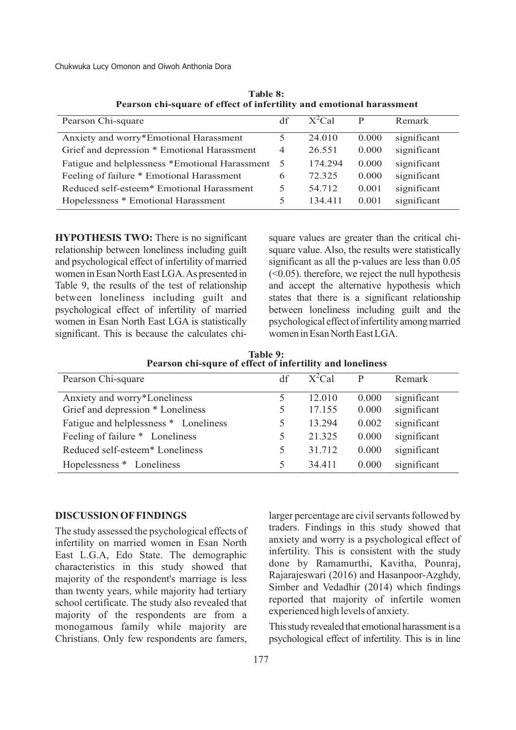| Pearson Chi-square                                    | df             | $X^2$ Cal | D     | Remark      |
|-------------------------------------------------------|----------------|-----------|-------|-------------|
|                                                       |                |           |       |             |
| Anxiety and worry*Emotional Harassment                | 5              | 24.010    | 0.000 | significant |
| Grief and depression * Emotional Harassment           | $\overline{4}$ | 26.551    | 0.000 | significant |
| Fatigue and helplessness *Emotional Harassment        | - 5            | 174.294   | 0.000 | significant |
| Feeling of failure * Emotional Harassment             | 6              | 72.325    | 0.000 | significant |
| Reduced self-esteem <sup>*</sup> Emotional Harassment | 5              | 54.712    | 0.001 | significant |
| Hopelessness * Emotional Harassment                   | 5              | 134.411   | 0.001 | significant |

**Table 8: Pearson chi-square of effect of infertility and emotional harassment**

**HYPOTHESIS TWO:** There is no significant relationship between loneliness including guilt and psychological effect of infertility of married women in Esan North East LGA. As presented in Table 9, the results of the test of relationship between loneliness including guilt and psychological effect of infertility of married women in Esan North East LGA is statistically significant. This is because the calculates chisquare values are greater than the critical chisquare value. Also, the results were statistically significant as all the p-values are less than 0.05  $(<0.05$ ). therefore, we reject the null hypothesisand accept the alternative hypothesis which states that there is a significant relationship between loneliness including guilt and the psychological effect of infertility among married women in Esan North East LGA.

**Table 9: Pearson chi-squre of effect of infertility and loneliness**

| Pearson Chi-square                          | df | $X^2$ Cal | D     | Remark      |
|---------------------------------------------|----|-----------|-------|-------------|
| Anxiety and worry*Loneliness                | 5  | 12.010    | 0.000 | significant |
| Grief and depression * Loneliness           |    | 17.155    | 0.000 | significant |
| Fatigue and helplessness * Loneliness       | 5  | 13.294    | 0.002 | significant |
| Feeling of failure * Loneliness             | 5. | 21.325    | 0.000 | significant |
| Reduced self-esteem <sup>*</sup> Loneliness | 5  | 31.712    | 0.000 | significant |
| Hopelessness * Loneliness                   | 5. | 34.411    | 0.000 | significant |

#### **DISCUSSION OFFINDINGS**

The study assessed the psychological effects of infertility on married women in Esan North East L.G.A, Edo State. The demographic characteristics in this study showed that majority of the respondent's marriage is less than twenty years, while majority had tertiary school certificate. The study also revealed that majority of the respondents are from a monogamous family while majority are Christians. Only few respondents are famers,

larger percentage are civil servants followed by traders. Findings in this study showed that anxiety and worry is a psychological effect of infertility. This is consistent with the study done by Ramamurthi, Kavitha, Pounraj, Rajarajeswari (2016) and Hasanpoor-Azghdy, Simber and Vedadhir (2014) which findings reported that majority of infertile women experienced high levels of anxiety.

Thisstudy revealed that emotional harassmentis a psychological effect of infertility. This is in line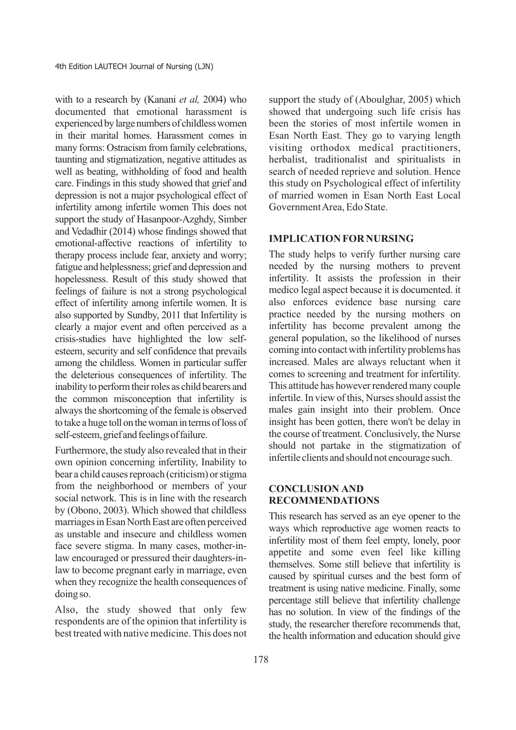with to a research by (Kanani *et al,* 2004) who documented that emotional harassment is experienced by large numbers of childlesswomen in their marital homes. Harassment comes in many forms: Ostracism from family celebrations, taunting and stigmatization, negative attitudes as well as beating, withholding of food and health care. Findings in this study showed that grief and depression is not a major psychological effect of infertility among infertile women This does not support the study of Hasanpoor-Azghdy, Simber and Vedadhir (2014) whose findings showed that emotional-affective reactions of infertility to therapy process include fear, anxiety and worry; fatigue and helplessness; grief and depression and hopelessness. Result of this study showed that feelings of failure is not a strong psychological effect of infertility among infertile women. It is also supported by Sundby, 2011 that Infertility is clearly a major event and often perceived as a crisis-studies have highlighted the low selfesteem, security and self confidence that prevails among the childless. Women in particular suffer the deleterious consequences of infertility. The inability to perform their roles as child bearers and the common misconception that infertility is alwaysthe shortcoming of the female is observed to take a huge toll on thewoman in terms ofloss of self-esteem, grief and feelings of failure.

Furthermore, the study also revealed that in their own opinion concerning infertility, Inability to bear a child causes reproach (criticism) or stigma from the neighborhood or members of your social network. This is in line with the research by (Obono, 2003). Which showed that childless marriages in Esan North East are often perceived as unstable and insecure and childless women face severe stigma. In many cases, mother-inlaw encouraged or pressured their daughters-inlaw to become pregnant early in marriage, even when they recognize the health consequences of doing so.

Also, the study showed that only few respondents are of the opinion that infertility is best treated with native medicine. This does not

support the study of (Aboulghar, 2005) which showed that undergoing such life crisis has been the stories of most infertile women in Esan North East. They go to varying length visiting orthodox medical practitioners, herbalist, traditionalist and spiritualists in search of needed reprieve and solution. Hence this study on Psychological effect of infertility of married women in Esan North East Local Government Area, Edo State.

### **IMPLICATION FOR NURSING**

The study helps to verify further nursing care needed by the nursing mothers to prevent infertility. It assists the profession in their medico legal aspect because it is documented. it also enforces evidence base nursing care practice needed by the nursing mothers on infertility has become prevalent among the general population, so the likelihood of nurses coming into contactwith infertility problems has increased. Males are always reluctant when it comes to screening and treatment for infertility. This attitude has however rendered many couple infertile. In view of this, Nurses should assist the males gain insight into their problem. Once insight has been gotten, there won't be delay in the course of treatment. Conclusively, the Nurse should not partake in the stigmatization of infertile clients and should not encourage such.

# **CONCLUSION AND RECOMMENDATIONS**

This research has served as an eye opener to the ways which reproductive age women reacts to infertility most of them feel empty, lonely, poor appetite and some even feel like killing themselves. Some still believe that infertility is caused by spiritual curses and the best form of treatment is using native medicine. Finally, some percentage still believe that infertility challenge has no solution. In view of the findings of the study, the researcher therefore recommends that, the health information and education should give